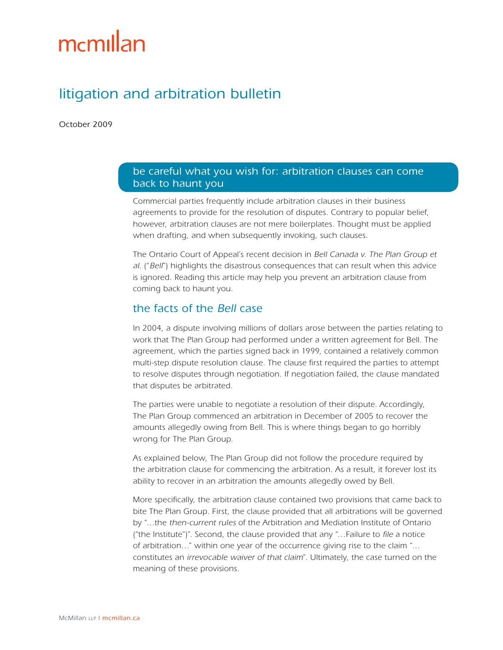# mcmillan

## litigation and arbitration bulletin

October 2009

#### be careful what you wish for: arbitration clauses can come back to haunt you

Commercial parties frequently include arbitration clauses in their business agreements to provide for the resolution of disputes. Contrary to popular belief, however, arbitration clauses are not mere boilerplates. Thought must be applied when drafting, and when subsequently invoking, such clauses.

The Ontario Court of Appeal's recent decision in Bell Canada v. The Plan Group et al. ("Bell") highlights the disastrous consequences that can result when this advice is ignored. Reading this article may help you prevent an arbitration clause from coming back to haunt you.

#### the facts of the Bell case

In 2004, a dispute involving millions of dollars arose between the parties relating to work that The Plan Group had performed under a written agreement for Bell. The agreement, which the parties signed back in 1999, contained a relatively common multi-step dispute resolution clause. The clause first required the parties to attempt to resolve disputes through negotiation. If negotiation failed, the clause mandated that disputes be arbitrated.

The parties were unable to negotiate a resolution of their dispute. Accordingly, The Plan Group commenced an arbitration in December of 2005 to recover the amounts allegedly owing from Bell. This is where things began to go horribly wrong for The Plan Group.

As explained below, The Plan Group did not follow the procedure required by the arbitration clause for commencing the arbitration. As a result, it forever lost its ability to recover in an arbitration the amounts allegedly owed by Bell.

More specifically, the arbitration clause contained two provisions that came back to bite The Plan Group. First, the clause provided that all arbitrations will be governed by "…the then-current rules of the Arbitration and Mediation Institute of Ontario ("the Institute")". Second, the clause provided that any "…Failure to file a notice of arbitration…" within one year of the occurrence giving rise to the claim "… constitutes an irrevocable waiver of that claim". Ultimately, the case turned on the meaning of these provisions.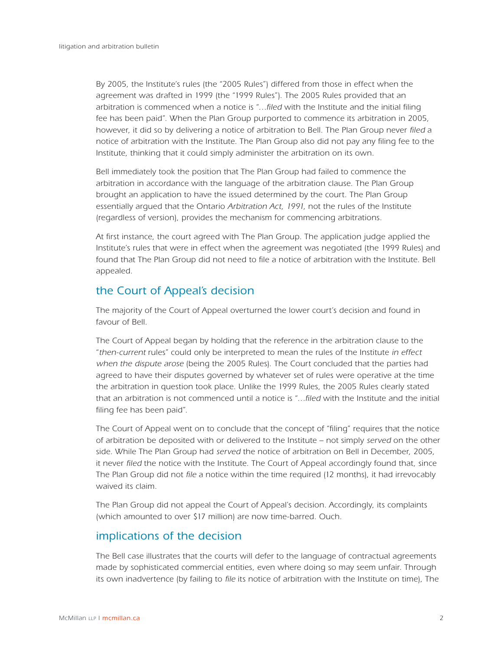By 2005, the Institute's rules (the "2005 Rules") differed from those in effect when the agreement was drafted in 1999 (the "1999 Rules"). The 2005 Rules provided that an arbitration is commenced when a notice is "…filed with the Institute and the initial filing fee has been paid". When the Plan Group purported to commence its arbitration in 2005, however, it did so by delivering a notice of arbitration to Bell. The Plan Group never filed a notice of arbitration with the Institute. The Plan Group also did not pay any filing fee to the Institute, thinking that it could simply administer the arbitration on its own.

Bell immediately took the position that The Plan Group had failed to commence the arbitration in accordance with the language of the arbitration clause. The Plan Group brought an application to have the issued determined by the court. The Plan Group essentially argued that the Ontario Arbitration Act, 1991, not the rules of the Institute (regardless of version), provides the mechanism for commencing arbitrations.

At first instance, the court agreed with The Plan Group. The application judge applied the Institute's rules that were in effect when the agreement was negotiated (the 1999 Rules) and found that The Plan Group did not need to file a notice of arbitration with the Institute. Bell appealed.

## the Court of Appeal's decision

The majority of the Court of Appeal overturned the lower court's decision and found in favour of Bell.

The Court of Appeal began by holding that the reference in the arbitration clause to the "then-current rules" could only be interpreted to mean the rules of the Institute in effect when the dispute arose (being the 2005 Rules). The Court concluded that the parties had agreed to have their disputes governed by whatever set of rules were operative at the time the arbitration in question took place. Unlike the 1999 Rules, the 2005 Rules clearly stated that an arbitration is not commenced until a notice is "…filed with the Institute and the initial filing fee has been paid".

The Court of Appeal went on to conclude that the concept of "filing" requires that the notice of arbitration be deposited with or delivered to the Institute – not simply served on the other side. While The Plan Group had served the notice of arbitration on Bell in December, 2005, it never filed the notice with the Institute. The Court of Appeal accordingly found that, since The Plan Group did not file a notice within the time required (12 months), it had irrevocably waived its claim.

The Plan Group did not appeal the Court of Appeal's decision. Accordingly, its complaints (which amounted to over \$17 million) are now time-barred. Ouch.

### implications of the decision

The Bell case illustrates that the courts will defer to the language of contractual agreements made by sophisticated commercial entities, even where doing so may seem unfair. Through its own inadvertence (by failing to file its notice of arbitration with the Institute on time), The